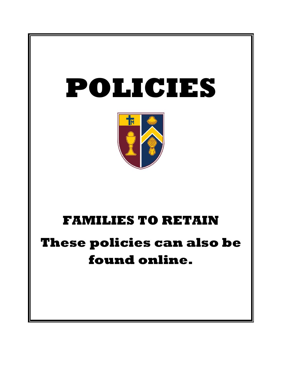



## **FAMILIES TO RETAIN**

# **These policies can also be found online.**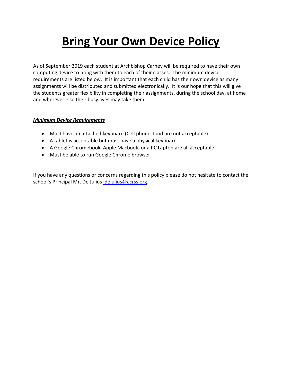## **Bring Your Own Device Policy**

As of September 2019 each student at Archbishop Carney will be required to have their own computing device to bring with them to each of their classes. The minimum device requirements are listed below. It is important that each child has their own device as many assignments will be distributed and submitted electronically. It is our hope that this will give the students greater flexibility in completing their assignments, during the school day, at home and wherever else their busy lives may take them.

#### *Minimum Device Requirements*

- Must have an attached keyboard (Cell phone, Ipod are not acceptable)
- A tablet is acceptable but must have a physical keyboard
- A Google Chromebook, Apple Macbook, or a PC Laptop are all acceptable
- Must be able to run Google Chrome browser

If you have any questions or concerns regarding this policy please do not hesitate to contact the school's Principal Mr. De Julius Idejulius@acrss.org.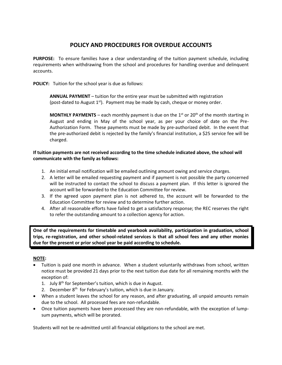## **POLICY AND PROCEDURES FOR OVERDUE ACCOUNTS**

**PURPOSE:** To ensure families have a clear understanding of the tuition payment schedule, including requirements when withdrawing from the school and procedures for handling overdue and delinquent accounts.

**POLICY:** Tuition for the school year is due as follows:

**ANNUAL PAYMENT** – tuition for the entire year must be submitted with registration (post-dated to August  $1<sup>st</sup>$ ). Payment may be made by cash, cheque or money order.

**MONTHLY PAYMENTS** – each monthly payment is due on the 1<sup>st</sup> or 20<sup>th</sup> of the month starting in August and ending in May of the school year, as per your choice of date on the Pre-Authorization Form. These payments must be made by pre-authorized debit. In the event that the pre-authorized debit is rejected by the family's financial institution, a \$25 service fee will be charged.

#### **If tuition payments are not received according to the time schedule indicated above, the school will communicate with the family as follows:**

- 1. An initial email notification will be emailed outlining amount owing and service charges.
- 2. A letter will be emailed requesting payment and if payment is not possible the party concerned will be instructed to contact the school to discuss a payment plan. If this letter is ignored the account will be forwarded to the Education Committee for review.
- 3. If the agreed upon payment plan is not adhered to, the account will be forwarded to the Education Committee for review and to determine further action.
- 4. After all reasonable efforts have failed to get a satisfactory response; the REC reserves the right to refer the outstanding amount to a collection agency for action.

**One of the requirements for timetable and yearbook availability, participation in graduation, school trips, re-registration, and other school-related services is that all school fees and any other monies due for the present or prior school year be paid according to schedule.**

#### **NOTE:**

- Tuition is paid one month in advance. When a student voluntarily withdraws from school, written notice must be provided 21 days prior to the next tuition due date for all remaining months with the exception of:
	- 1. July  $8^{th}$  for September's tuition, which is due in August.
	- 2. December 8<sup>th</sup> for February's tuition, which is due in January.
- When a student leaves the school for any reason, and after graduating, all unpaid amounts remain due to the school. All processed fees are non-refundable.
- Once tuition payments have been processed they are non-refundable, with the exception of lumpsum payments, which will be prorated.

Students will not be re-admitted until all financial obligations to the school are met.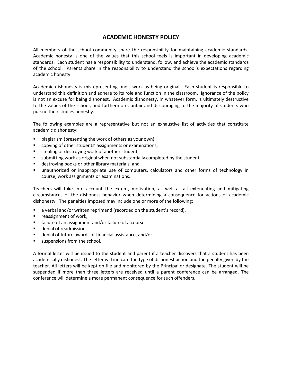## **ACADEMIC HONESTY POLICY**

All members of the school community share the responsibility for maintaining academic standards. Academic honesty is one of the values that this school feels is important in developing academic standards. Each student has a responsibility to understand, follow, and achieve the academic standards of the school. Parents share in the responsibility to understand the school's expectations regarding academic honesty.

Academic dishonesty is misrepresenting one's work as being original. Each student is responsible to understand this definition and adhere to its role and function in the classroom. Ignorance of the policy is not an excuse for being dishonest. Academic dishonesty, in whatever form, is ultimately destructive to the values of the school; and furthermore, unfair and discouraging to the majority of students who pursue their studies honestly.

The following examples are a representative but not an exhaustive list of activities that constitute academic dishonesty:

- plagiarism (presenting the work of others as your own),
- copying of other students' assignments or examinations,
- stealing or destroying work of another student,
- submitting work as original when not substantially completed by the student,
- destroying books or other library materials, and
- unauthorized or inappropriate use of computers, calculators and other forms of technology in course, work assignments or examinations.

Teachers will take into account the extent, motivation, as well as all extenuating and mitigating circumstances of the dishonest behavior when determining a consequence for actions of academic dishonesty. The penalties imposed may include one or more of the following:

- a verbal and/or written reprimand (recorded on the student's record),
- reassignment of work,
- failure of an assignment and/or failure of a course,
- denial of readmission,
- denial of future awards or financial assistance, and/or
- suspensions from the school.

A formal letter will be issued to the student and parent if a teacher discovers that a student has been academically dishonest. The letter will indicate the type of dishonest action and the penalty given by the teacher. All letters will be kept on file and monitored by the Principal or designate. The student will be suspended if more than three letters are received until a parent conference can be arranged. The conference will determine a more permanent consequence for such offenders.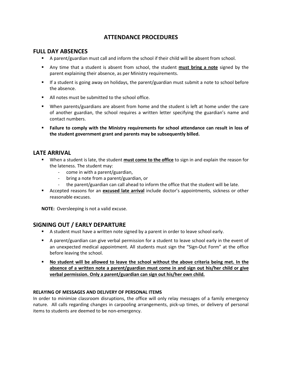## **ATTENDANCE PROCEDURES**

#### **FULL DAY ABSENCES**

- A parent/guardian must call and inform the school if their child will be absent from school.
- Any time that a student is absent from school, the student **must bring a note** signed by the parent explaining their absence, as per Ministry requirements.
- If a student is going away on holidays, the parent/guardian must submit a note to school before the absence.
- All notes must be submitted to the school office.
- When parents/guardians are absent from home and the student is left at home under the care of another guardian, the school requires a written letter specifying the guardian's name and contact numbers.
- **Failure to comply with the Ministry requirements for school attendance can result in loss of the student government grant and parents may be subsequently billed.**

## **LATE ARRIVAL**

- **■** When a student is late, the student **must come to the office** to sign in and explain the reason for the lateness. The student may:
	- come in with a parent/guardian,
	- bring a note from a parent/guardian, or
	- the parent/guardian can call ahead to inform the office that the student will be late.
- **EXECUTE:** Accepted reasons for an **excused late arrival** include doctor's appointments, sickness or other reasonable excuses.

**NOTE:** Oversleeping is not a valid excuse.

## **SIGNING OUT / EARLY DEPARTURE**

- **E** A student must have a written note signed by a parent in order to leave school early.
- **EX** A parent/guardian can give verbal permission for a student to leave school early in the event of an unexpected medical appointment. All students must sign the "Sign-Out Form" at the office before leaving the school.
- **No student will be allowed to leave the school without the above criteria being met. In the absence of a written note a parent/guardian must come in and sign out his/her child or give verbal permission. Only a parent/guardian can sign out his/her own child.**

#### **RELAYING OF MESSAGES AND DELIVERY OF PERSONAL ITEMS**

In order to minimize classroom disruptions, the office will only relay messages of a family emergency nature. All calls regarding changes in carpooling arrangements, pick-up times, or delivery of personal items to students are deemed to be non-emergency.